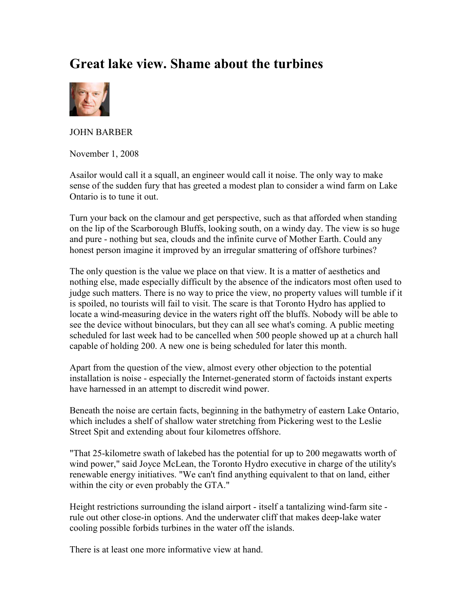## Great lake view. Shame about the turbines



JOHN BARBER

November 1, 2008

Asailor would call it a squall, an engineer would call it noise. The only way to make sense of the sudden fury that has greeted a modest plan to consider a wind farm on Lake Ontario is to tune it out.

Turn your back on the clamour and get perspective, such as that afforded when standing on the lip of the Scarborough Bluffs, looking south, on a windy day. The view is so huge and pure - nothing but sea, clouds and the infinite curve of Mother Earth. Could any honest person imagine it improved by an irregular smattering of offshore turbines?

The only question is the value we place on that view. It is a matter of aesthetics and nothing else, made especially difficult by the absence of the indicators most often used to judge such matters. There is no way to price the view, no property values will tumble if it is spoiled, no tourists will fail to visit. The scare is that Toronto Hydro has applied to locate a wind-measuring device in the waters right off the bluffs. Nobody will be able to see the device without binoculars, but they can all see what's coming. A public meeting scheduled for last week had to be cancelled when 500 people showed up at a church hall capable of holding 200. A new one is being scheduled for later this month.

Apart from the question of the view, almost every other objection to the potential installation is noise - especially the Internet-generated storm of factoids instant experts have harnessed in an attempt to discredit wind power.

Beneath the noise are certain facts, beginning in the bathymetry of eastern Lake Ontario, which includes a shelf of shallow water stretching from Pickering west to the Leslie Street Spit and extending about four kilometres offshore.

"That 25-kilometre swath of lakebed has the potential for up to 200 megawatts worth of wind power," said Joyce McLean, the Toronto Hydro executive in charge of the utility's renewable energy initiatives. "We can't find anything equivalent to that on land, either within the city or even probably the GTA."

Height restrictions surrounding the island airport - itself a tantalizing wind-farm site rule out other close-in options. And the underwater cliff that makes deep-lake water cooling possible forbids turbines in the water off the islands.

There is at least one more informative view at hand.